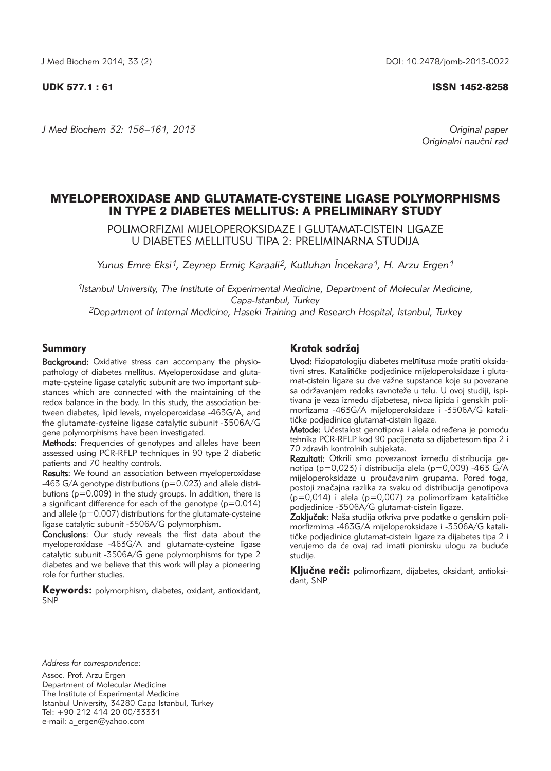### UDK 577.1 : 61 ISSN 1452-8258

*J Med Biochem 32: 156–161, 2013 Original paper* Originalni naučni rad

# MYELOPEROXIDASE AND GLUTAMATE-CYSTEINE LIGASE POLYMORPHISMS IN TYPE 2 DIABETES MELLITUS: A PRELIMINARY STUDY

POLIMORFIZMI MIJELOPEROKSIDAZE I GLUTAMAT-CISTEIN LIGAZE U DIABETES MELLITUSU TIPA 2: PRELIMINARNA STUDIJA

*Yunus Emre Eksi1, Zeynep Ermic¸ Karaali2, Kutluhan Ïncekara1, H. Arzu Ergen1*

*1Istanbul University, The Institute of Experimental Medicine, Department of Molecular Medicine, Capa-Istanbul, Turkey 2Department of Internal Medicine, Haseki Training and Research Hospital, Istanbul, Turkey*

### Summary

Background: Oxidative stress can accompany the physiopathology of diabetes mellitus. Myeloperoxidase and glutamate-cysteine ligase catalytic subunit are two important substances which are connected with the maintaining of the redox balance in the body. In this study, the association between diabetes, lipid levels, myeloperoxidase -463G/A, and the glutamate-cysteine ligase catalytic subunit -3506A/G gene polymorphisms have been investigated.

Methods: Frequencies of genotypes and alleles have been assessed using PCR-RFLP techniques in 90 type 2 diabetic patients and 70 healthy controls.

Results: We found an association between myeloperoxidase -463 G/A genotype distributions (p=0.023) and allele distributions (p=0.009) in the study groups. In addition, there is a significant difference for each of the genotype (p=0.014) and allele ( $p=0.007$ ) distributions for the glutamate-cysteine ligase catalytic subunit -3506A/G polymorphism.

Conclusions: Our study reveals the first data about the myeloperoxidase -463G/A and glutamate-cysteine ligase catalytic subunit -3506A/G gene polymorphisms for type 2 diabetes and we believe that this work will play a pioneering role for further studies.

Keywords: polymorphism, diabetes, oxidant, antioxidant, SNP

## Kratak sadržaj

Uvod: Fiziopatologiju diabetes melлitusa može pratiti oksidativni stres. Katalitičke podjedinice mijeloperoksidaze i glutamat-cistein ligaze su dve važne supstance koje su povezane sa održavanjem redoks ravnoteže u telu. U ovoj studiji, ispitivana je veza između dijabetesa, nivoa lipida i genskih polimorfizama -463G/A mijeloperoksidaze i -3506A/G katalitičke podjedinice glutamat-cistein ligaze.

Metode: Učestalost genotipova i alela određena je pomoću tehnika PCR-RFLP kod 90 pacijenata sa dijabetesom tipa 2 i 70 zdravih kontrolnih subjekata.

Rezultati: Otkrili smo povezanost između distribucija genotipa (p=0,023) i distribucija alela (p=0,009) -463 G/A mijeloperoksidaze u proučavanim grupama. Pored toga, postoji značajna razlika za svaku od distribucija genotipova  $(p=0,014)$  i alela (p=0,007) za polimorfizam katalitičke podjedinice -3506A/G glutamat-cistein ligaze.

Zaključak: Naša studija otkriva prve podatke o genskim polimorfizmima -463G/A mijeloperoksidaze i -3506A/G katalitičke podjedinice glutamat-cistein ligaze za dijabetes tipa 2 i verujemo da će ovaj rad imati pionirsku ulogu za buduće studije.

Ključne reči: polimorfizam, dijabetes, oksidant, antioksidant, SNP

*Address for correspondence:*

Assoc. Prof. Arzu Ergen

Department of Molecular Medicine The Institute of Experimental Medicine Istanbul University, 34280 Capa Istanbul, Turkey Tel: +90 212 414 20 00/33331 e-mail: a ergen@yahoo.com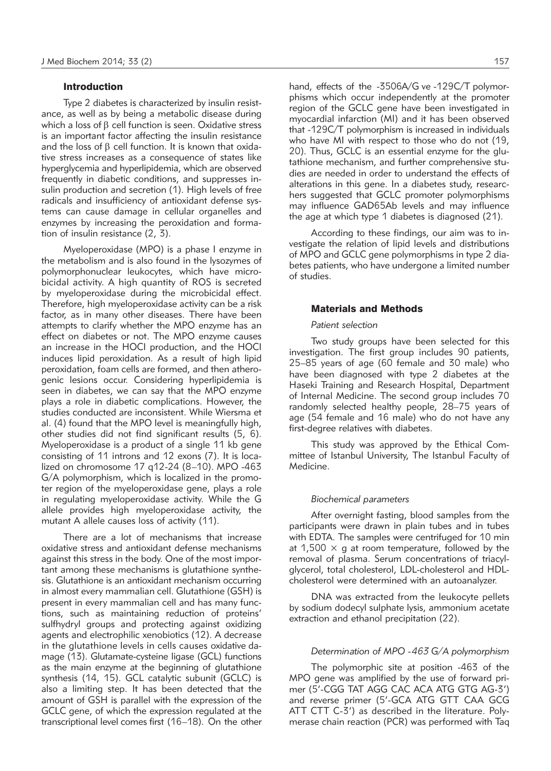### Introduction

Type 2 diabetes is characterized by insulin resistance, as well as by being a metabolic disease during which a loss of  $\beta$  cell function is seen. Oxidative stress is an important factor affecting the insulin resistance and the loss of  $\beta$  cell function. It is known that oxidative stress increases as a consequence of states like hyperglycemia and hyperlipidemia, which are observed frequently in diabetic conditions, and suppresses in sulin production and secretion (1). High levels of free radicals and insufficiency of antioxidant defense systems can cause damage in cellular organelles and enzymes by increasing the peroxidation and formation of insulin resistance (2, 3).

Myeloperoxidase (MPO) is a phase I enzyme in the metabolism and is also found in the lysozymes of polymorphonuclear leukocytes, which have microbicidal activity. A high quantity of ROS is secreted by myeloperoxidase during the microbicidal effect. Therefore, high myeloperoxidase activity can be a risk factor, as in many other diseases. There have been attempts to clarify whether the MPO enzyme has an effect on diabetes or not. The MPO enzyme causes an increase in the HOCI production, and the HOCI induces lipid peroxidation. As a result of high lipid peroxidation, foam cells are formed, and then atherogenic lesions occur. Considering hyperlipidemia is seen in diabetes, we can say that the MPO enzyme plays a role in diabetic complications. However, the studies conducted are inconsistent. While Wiersma et al. (4) found that the MPO level is meaningfully high, other studies did not find significant results (5, 6). Myeloperoxidase is a product of a single 11 kb gene consisting of 11 introns and 12 exons (7). It is localized on chromosome 17 q12-24 (8–10). MPO -463 G/A polymorphism, which is localized in the promoter region of the myeloperoxidase gene, plays a role in regulating myeloperoxidase activity. While the G allele provides high myeloperoxidase activity, the mutant A allele causes loss of activity (11).

There are a lot of mechanisms that increase oxidative stress and antioxidant defense mechanisms against this stress in the body. One of the most important among these mechanisms is glutathione synthesis. Glutathione is an antioxidant mechanism occurring in almost every mammalian cell. Glutathione (GSH) is present in every mammalian cell and has many functions, such as maintaining reduction of proteins' sulfhydryl groups and protecting against oxidizing agents and electrophilic xenobiotics (12). A decrease in the glutathione levels in cells causes oxidative damage (13). Glutamate-cysteine ligase (GCL) functions as the main enzyme at the beginning of glutathione synthesis (14, 15). GCL catalytic subunit (GCLC) is also a limiting step. It has been detected that the amount of GSH is parallel with the expression of the GCLC gene, of which the expression regulated at the transcriptional level comes first (16–18). On the other hand, effects of the -3506A/G ve -129C/T polymorphisms which occur independently at the promoter region of the GCLC gene have been investigated in myocardial infarction (MI) and it has been observed that -129C/T polymorphism is increased in individuals who have MI with respect to those who do not (19, 20). Thus, GCLC is an essential enzyme for the glutathione mechanism, and further comprehensive studies are needed in order to understand the effects of alterations in this gene. In a diabetes study, researchers suggested that GCLC promoter polymorphisms may influence GAD65Ab levels and may influence the age at which type 1 diabetes is diagnosed (21).

According to these findings, our aim was to investigate the relation of lipid levels and distributions of MPO and GCLC gene polymorphisms in type 2 diabetes patients, who have undergone a limited number of studies.

### Materials and Methods

#### *Patient selection*

Two study groups have been selected for this investigation. The first group includes 90 patients, 25–85 years of age (60 female and 30 male) who have been diagnosed with type 2 diabetes at the Haseki Training and Research Hospital, Department of Internal Medicine. The second group includes 70 randomly selected healthy people, 28–75 years of age (54 female and 16 male) who do not have any first-degree relatives with diabetes.

This study was approved by the Ethical Committee of Istanbul University, The Istanbul Faculty of Medicine.

### *Biochemical parameters*

After overnight fasting, blood samples from the participants were drawn in plain tubes and in tubes with EDTA. The samples were centrifuged for 10 min at 1,500  $\times$  g at room temperature, followed by the removal of plasma. Serum concentrations of triacylglycerol, total cholesterol, LDL-cholesterol and HDLcholesterol were determined with an autoanalyzer.

DNA was extracted from the leukocyte pellets by sodium dodecyl sulphate lysis, ammonium acetate extraction and ethanol precipitation (22).

### *Determination of MPO -463 G/A polymorphism*

The polymorphic site at position -463 of the MPO gene was amplified by the use of forward primer (5'-CGG TAT AGG CAC ACA ATG GTG AG-3') and reverse primer (5'-GCA ATG GTT CAA GCG ATT CTT C-3') as described in the literature. Polymerase chain reaction (PCR) was performed with Taq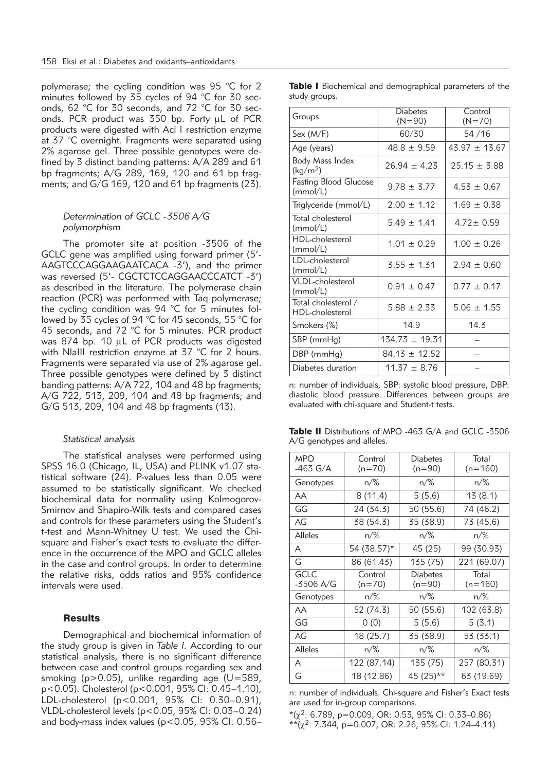polymerase; the cycling condition was 95 °C for 2 minutes followed by 35 cycles of 94 °C for 30 seconds, 62 °C for 30 seconds, and 72 °C for 30 seconds. PCR product was 350 bp. Forty µL of PCR products were digested with Aci I restriction enzyme at 37 °C overnight. Fragments were separated using 2% agarose gel. Three possible genotypes were defined by 3 distinct banding patterns: A/A 289 and 61 bp fragments; A/G 289, 169, 120 and 61 bp fragments; and G/G 169, 120 and 61 bp fragments (23).

### *Determination of GCLC -3506 A/G polymorphism*

The promoter site at position -3506 of the GCLC gene was amplified using forward primer (5'- AAGTCCCAGGAAGAATCACA -3'), and the primer was reversed (5'- CGCTCTCCAGGAACCCATCT -3') as described in the literature. The polymerase chain reaction (PCR) was performed with Taq polymerase; the cycling condition was 94 °C for 5 minutes followed by 35 cycles of 94 °C for 45 seconds, 55 °C for 45 seconds, and 72 °C for 5 minutes. PCR product was 874 bp. 10 uL of PCR products was digested with NlaIII restriction enzyme at 37 °C for 2 hours. Fragments were separated via use of 2% agarose gel. Three possible genotypes were defined by 3 distinct banding patterns: A/A 722, 104 and 48 bp fragments; A/G 722, 513, 209, 104 and 48 bp fragments; and G/G 513, 209, 104 and 48 bp fragments (13).

### *Statistical analysis*

The statistical analyses were performed using SPSS 16.0 (Chicago, IL, USA) and PLINK v1.07 statistical software (24). P-values less than 0.05 were assumed to be statistically significant. We checked biochemical data for normality using Kolmogorov-Smirnov and Shapiro-Wilk tests and compared cases and controls for these parameters using the Student's t-test and Mann-Whitney U test. We used the Chisquare and Fisher's exact tests to evaluate the difference in the occurrence of the MPO and GCLC alleles in the case and control groups. In order to determine the relative risks, odds ratios and 95% confidence intervals were used.

### **Results**

Demographical and biochemical information of the study group is given in *Table I.* According to our statistical analysis, there is no significant difference between case and control groups regarding sex and smoking (p>0.05), unlike regarding age (U=589, p<0.05). Cholesterol (p<0.001, 95% CI: 0.45–1.10), LDL-cholesterol (p<0.001, 95% CI: 0.30–0.91), VLDL-cholesterol levels (p<0.05, 95% CI: 0.03–0.24) and body-mass index values (p<0.05, 95% CI: 0.56–

|               |  | Table I Biochemical and demographical parameters of the |  |  |
|---------------|--|---------------------------------------------------------|--|--|
| study groups. |  |                                                         |  |  |

| Groups                                   | <b>Diabetes</b><br>$(N=90)$ | Control<br>$(N=70)$ |  |
|------------------------------------------|-----------------------------|---------------------|--|
| Sex (M/F)                                | 60/30                       | 54/16               |  |
| Age (years)                              | $48.8 \pm 9.59$             | $43.97 \pm 13.67$   |  |
| Body Mass Index<br>(kg/m <sup>2</sup> )  | $26.94 \pm 4.23$            | $25.15 \pm 3.88$    |  |
| <b>Fasting Blood Glucose</b><br>(mmol/L) | $9.78 \pm 3.77$             | $4.53 \pm 0.67$     |  |
| Triglyceride (mmol/L)                    | $2.00 \pm 1.12$             | $1.69 \pm 0.38$     |  |
| Total cholesterol<br>(mmol/L)            | $5.49 \pm 1.41$             | $4.72 \pm 0.59$     |  |
| HDL-cholesterol<br>(mmol/L)              | $1.01 \pm 0.29$             | $1.00 \pm 0.26$     |  |
| LDL-cholesterol<br>(mmol/L)              | $3.55 \pm 1.31$             | $2.94 \pm 0.60$     |  |
| <b>VLDL-cholesterol</b><br>(mmol/L)      | $0.91 \pm 0.47$             | $0.77 \pm 0.17$     |  |
| Total cholesterol /<br>HDL-cholesterol   | $5.88 \pm 2.33$             | $5.06 \pm 1.55$     |  |
| Smokers (%)                              | 14.9                        | 14.3                |  |
| SBP (mmHg)                               | $134.73 \pm 19.31$          |                     |  |
| DBP (mmHg)                               | $84.13 \pm 12.52$           |                     |  |
| Diabetes duration                        | $11.37 \pm 8.76$            |                     |  |

n: number of individuals, SBP: systolic blood pressure, DBP: diastolic blood pressure. Differences between groups are evaluated with chi-square and Student-t tests.

| <b>Table II</b> Distributions of MPO -463 G/A and GCLC -3506 |  |  |  |
|--------------------------------------------------------------|--|--|--|
| $A/G$ genotypes and alleles.                                 |  |  |  |

| <b>MPO</b><br>$-463$ G/A | Control<br>$(n=70)$ | Diabetes<br>$(n=90)$        | Total<br>$(n=160)$ |
|--------------------------|---------------------|-----------------------------|--------------------|
| Genotypes                | $n/\%$              | n/%                         | $n/\%$             |
| AA                       | 8 (11.4)            | 5(5.6)                      | 13(8.1)            |
| GG                       | 24 (34.3)           | 50 (55.6)                   | 74 (46.2)          |
| AG                       | 38 (54.3)           | 35 (38.9)                   | 73 (45.6)          |
| Alleles                  | $n\frac{9}{6}$      | $n/\%$                      | $n\frac{9}{6}$     |
| A                        | 54 (38.57)*         | 45 (25)                     | 99 (30.93)         |
| G                        | 86 (61.43)          | 135 (75)                    | 221 (69.07)        |
| <b>GCLC</b><br>-3506 A/G | Control<br>$(n=70)$ | <b>Diabetes</b><br>$(n=90)$ | Total<br>$(n=160)$ |
| Genotypes                | $n\frac{9}{6}$      | $n\frac{9}{6}$              | $n\frac{9}{6}$     |
| AA                       | 52 (74.3)           | 50 (55.6)                   | 102 (63.8)         |
| GG                       | 0(0)                | 5(5.6)                      | 5(3.1)             |
| AG                       | 18 (25.7)           | 35 (38.9)                   | 53 (33.1)          |
| Alleles                  | $n\frac{9}{6}$      | $n/\%$                      | $n/\%$             |
| A                        | 122 (87.14)         | 135 (75)                    | 257 (80.31)        |
| G                        | 18 (12.86)          | 45 (25)**                   | 63 (19.69)         |

n: number of individuals. Chi-square and Fisher's Exact tests are used for in-group comparisons.

 $*(\chi^2: 6.789, p=0.009, OR: 0.53, 95\% CI: 0.33-0.86)$  $*$ <sup>\*</sup>(χ<sup>2</sup>: 7.344, p=0.007, OR: 2.26, 95% CI: 1.24–4.11)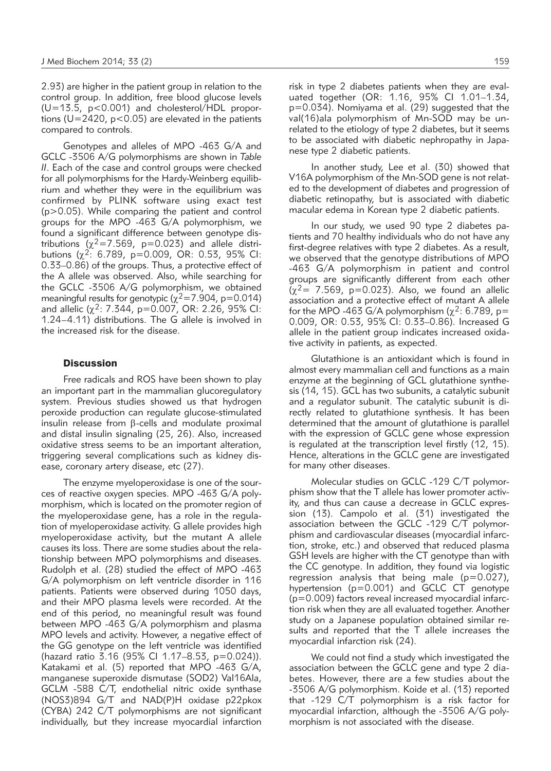2.93) are higher in the patient group in relation to the control group. In addition, free blood glucose levels  $(U=13.5, p<0.001)$  and cholesterol/HDL proportions ( $U=2420$ ,  $p<0.05$ ) are elevated in the patients compared to controls.

Genotypes and alleles of MPO -463 G/A and GCLC -3506 A/G polymorphisms are shown in *Table II*. Each of the case and control groups were checked for all polymorphisms for the Hardy-Weinberg equilibrium and whether they were in the equilibrium was confirmed by PLINK software using exact test (p>0.05). While comparing the patient and control groups for the MPO -463 G/A polymorphism, we found a significant difference between genotype distributions ( $\chi^2$ =7.569, p=0.023) and allele distributions  $(\chi^2: 6.789, p=0.009, OR: 0.53, 95\% CI:$ 0.33–0.86) of the groups. Thus, a protective effect of the A allele was observed. Also, while searching for the GCLC -3506 A/G polymorphism, we obtained me aningful results for genotypic ( $\chi^2$ =7.904, p=0.014) and allelic ( $\chi^2$ : 7.344, p=0.007, OR: 2.26, 95% CI: 1.24–4.11) distributions. The G allele is involved in the increased risk for the disease.

### **Discussion**

Free radicals and ROS have been shown to play an important part in the mammalian glucoregulatory system. Previous studies showed us that hydrogen peroxide production can regulate glucose-stimulated insulin release from  $\beta$ -cells and modulate proximal and distal insulin signaling (25, 26). Also, increased oxidative stress seems to be an important alteration, triggering several complications such as kidney disease, coronary artery disease, etc (27).

The enzyme myeloperoxidase is one of the sources of reactive oxygen species. MPO -463 G/A polymorphism, which is located on the promoter region of the myeloperoxidase gene, has a role in the regulation of myeloperoxidase activity. G allele provides high myeloperoxidase activity, but the mutant A allele causes its loss. There are some studies about the relationship between MPO polymorphisms and diseases. Rudolph et al. (28) studied the effect of MPO -463 G/A polymorphism on left ventricle disorder in 116 patients. Patients were observed during 1050 days, and their MPO plasma levels were recorded. At the end of this period, no meaningful result was found between MPO -463 G/A polymorphism and plasma MPO levels and activity. However, a negative effect of the GG genotype on the left ventricle was identified (hazard ratio 3.16 (95% CI 1.17–8.53, p=0.024)). Katakami et al. (5) reported that MPO -463 G/A, manganese superoxide dismutase (SOD2) Val16Ala, GCLM -588 C/T, endothelial nitric oxide synthase (NOS3)894 G/T and NAD(P)H oxidase p22pkox (CYBA) 242 C/T polymorphisms are not significant individually, but they increase myocardial infarction risk in type 2 diabetes patients when they are evaluated together (OR: 1.16, 95% CI 1.01–1.34, p=0.034). Nomiyama et al. (29) suggested that the val(16)ala polymorphism of Mn-SOD may be unrelated to the etiology of type 2 diabetes, but it seems to be associated with diabetic nephropathy in Japanese type 2 diabetic patients.

In another study, Lee et al. (30) showed that V16A polymorphism of the Mn-SOD gene is not related to the development of diabetes and progression of diabetic retinopathy, but is associated with diabetic macular edema in Korean type 2 diabetic patients.

In our study, we used 90 type 2 diabetes patients and 70 healthy individuals who do not have any first-degree relatives with type 2 diabetes. As a result, we observed that the genotype distributions of MPO -463 G/A polymorphism in patient and control groups are significantly different from each other  $(\chi^2$  = 7.569, p=0.023). Also, we found an allelic association and a protective effect of mutant A allele for the MPO -463 G/A polymorphism ( $\chi^2$ : 6.789, p= 0.009, OR: 0.53, 95% CI: 0.33–0.86). Increased G allele in the patient group indicates increased oxidative activity in patients, as expected.

Glutathione is an antioxidant which is found in almost every mammalian cell and functions as a main enzyme at the beginning of GCL glutathione synthesis (14, 15). GCL has two subunits, a catalytic subunit and a regulator subunit. The catalytic subunit is directly related to glutathione synthesis. It has been determined that the amount of glutathione is parallel with the expression of GCLC gene whose expression is regulated at the transcription level firstly (12, 15). Hence, alterations in the GCLC gene are investigated for many other diseases.

Molecular studies on GCLC -129 C/T polymorphism show that the T allele has lower promoter activity, and thus can cause a decrease in GCLC expression (13). Campolo et al. (31) investigated the association between the GCLC -129 C/T polymorphism and cardiovascular diseases (myocardial infarction, stroke, etc.) and observed that reduced plasma GSH levels are higher with the CT genotype than with the CC genotype. In addition, they found via logistic regression analysis that being male  $(p=0.027)$ , hypertension (p=0.001) and GCLC CT genotype (p=0.009) factors reveal increased myocardial infarction risk when they are all evaluated together. Another study on a Japanese population obtained similar results and reported that the T allele increases the myocardial infarction risk (24).

We could not find a study which investigated the association between the GCLC gene and type 2 diabetes. However, there are a few studies about the -3506 A/G polymorphism. Koide et al. (13) reported that -129 C/T polymorphism is a risk factor for myocardial infarction, although the -3506 A/G polymorphism is not associated with the disease.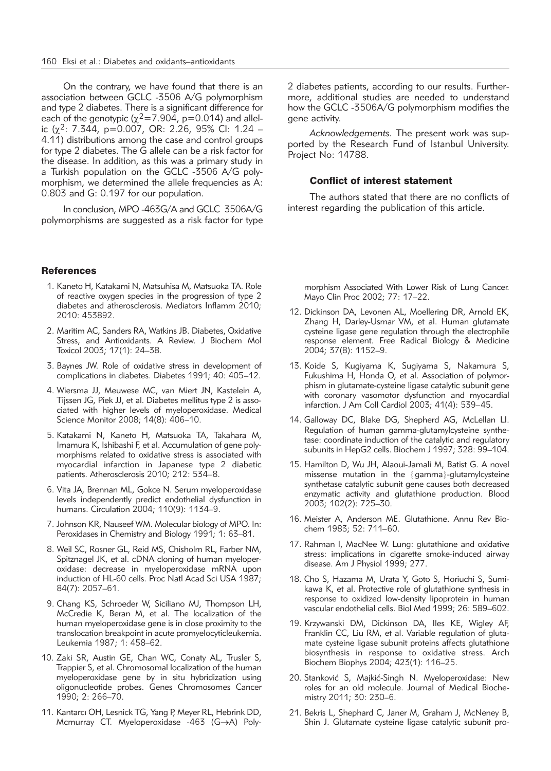On the contrary, we have found that there is an association between GCLC -3506 A/G polymorphism and type 2 diabetes. There is a significant difference for each of the genotypic ( $\chi^2$ =7.904, p=0.014) and allelic ( $\chi^2$ : 7.344, p=0.007, OR: 2.26, 95% CI: 1.24 – 4.11) distributions among the case and control groups for type 2 diabetes. The G allele can be a risk factor for the disease. In addition, as this was a primary study in a Turkish population on the GCLC -3506 A/G polymorphism, we determined the allele frequencies as A: 0.803 and G: 0.197 for our population.

In conclusion, MPO -463G/A and GCLC 3506A/G polymorphisms are suggested as a risk factor for type

#### **References**

- 1. Kaneto H, Katakami N, Matsuhisa M, Matsuoka TA. Role of reactive oxygen species in the progression of type 2 diabetes and atherosclerosis. Mediators Inflamm 2010; 2010: 453892.
- 2. Maritim AC, Sanders RA, Watkins JB. Diabetes, Oxidative Stress, and Antioxidants. A Review. J Biochem Mol Toxicol 2003; 17(1): 24–38.
- 3. Baynes JW. Role of oxidative stress in development of complications in diabetes. Diabetes 1991; 40: 405–12.
- 4. Wiersma JJ, Meuwese MC, van Miert JN, Kastelein A, Tijssen JG, Piek JJ, et al. Diabetes mellitus type 2 is associated with higher levels of myeloperoxidase. Medical Science Monitor 2008; 14(8): 406–10.
- 5. Katakami N, Kaneto H, Matsuoka TA, Takahara M, Imamura K, Ishibashi F, et al. Accumulation of gene polymorphisms related to oxidative stress is associated with myocardial infarction in Japanese type 2 diabetic patients. Atherosclerosis 2010; 212: 534–8.
- 6. Vita JA, Brennan ML, Gokce N. Serum myeloperoxidase levels independently predict endothelial dysfunction in humans. Circulation 2004; 110(9): 1134–9.
- 7. Johnson KR, Nauseef WM. Molecular biology of MPO. In: Peroxidases in Chemistry and Biology 1991; 1: 63–81.
- 8. Weil SC, Rosner GL, Reid MS, Chisholm RL, Farber NM, Spitznagel JK, et al. cDNA cloning of human myeloperoxidase: decrease in myeloperoxidase mRNA upon induction of HL-60 cells. Proc Natl Acad Sci USA 1987; 84(7): 2057–61.
- 9. Chang KS, Schroeder W, Siciliano MJ, Thompson LH, McCredie K, Beran M, et al. The localization of the human myeloperoxidase gene is in close proximity to the translocation breakpoint in acute promyelocyticleukemia. Leukemia 1987; 1: 458–62.
- 10. Zaki SR, Austin GE, Chan WC, Conaty AL, Trusler S, Trappier S, et al. Chromosomal localization of the human myeloperoxidase gene by in situ hybridization using oligonucleotide probes. Genes Chromosomes Cancer 1990; 2: 266–70.
- 11. Kantarcı OH, Lesnick TG, Yang P, Meyer RL, Hebrink DD, Mcmurray CT. Myeloperoxidase -463 (G→A) Poly-

2 diabetes patients, according to our results. Furthermore, additional studies are needed to understand how the GCLC -3506A/G polymorphism modifies the gene activity.

*Acknowledgements.* The present work was supported by the Research Fund of Istanbul University. Project No: 14788.

### Conflict of interest statement

The authors stated that there are no conflicts of interest regarding the publication of this article.

morphism Associated With Lower Risk of Lung Cancer. Mayo Clin Proc 2002; 77: 17–22.

- 12. Dickinson DA, Levonen AL, Moellering DR, Arnold EK, Zhang H, Darley-Usmar VM, et al. Human glutamate cysteine ligase gene regulation through the electrophile response element. Free Radical Biology & Medicine 2004; 37(8): 1152–9.
- 13. Koide S, Kugiyama K, Sugiyama S, Nakamura S, Fukushima H, Honda O, et al. Association of polymorphism in glutamate-cysteine ligase catalytic subunit gene with coronary vasomotor dysfunction and myocardial infarction. J Am Coll Cardiol 2003; 41(4): 539–45.
- 14. Galloway DC, Blake DG, Shepherd AG, McLellan LI. Regulation of human gamma-glutamylcysteine synthetase: coordinate induction of the catalytic and regulatory subunits in HepG2 cells. Biochem J 1997; 328: 99–104.
- 15. Hamilton D, Wu JH, Alaoui-Jamali M, Batist G. A novel missense mutation in the {gamma}-glutamylcysteine synthetase catalytic subunit gene causes both decreased enzymatic activity and glutathione production. Blood 2003; 102(2): 725–30.
- 16. Meister A, Anderson ME. Glutathione. Annu Rev Biochem 1983; 52: 711–60.
- 17. Rahman I, MacNee W. Lung: glutathione and oxidative stress: implications in cigarette smoke-induced airway disease. Am J Physiol 1999; 277.
- 18. Cho S, Hazama M, Urata Y, Goto S, Horiuchi S, Sumikawa K, et al. Protective role of glutathione synthesis in response to oxidized low-density lipoprotein in human vascular endothelial cells. Biol Med 1999; 26: 589–602.
- 19. Krzywanski DM, Dickinson DA, Iles KE, Wigley AF, Franklin CC, Liu RM, et al. Variable regulation of glutamate cysteine ligase subunit proteins affects glutathione biosynthesis in response to oxidative stress. Arch Biochem Biophys 2004; 423(1): 116–25.
- 20. Stanković S, Majkić-Singh N. Myeloperoxidase: New roles for an old molecule. Journal of Medical Biochemistry 2011; 30: 230–6.
- 21. Bekris L, Shephard C, Janer M, Graham J, McNeney B, Shin J. Glutamate cysteine ligase catalytic subunit pro-